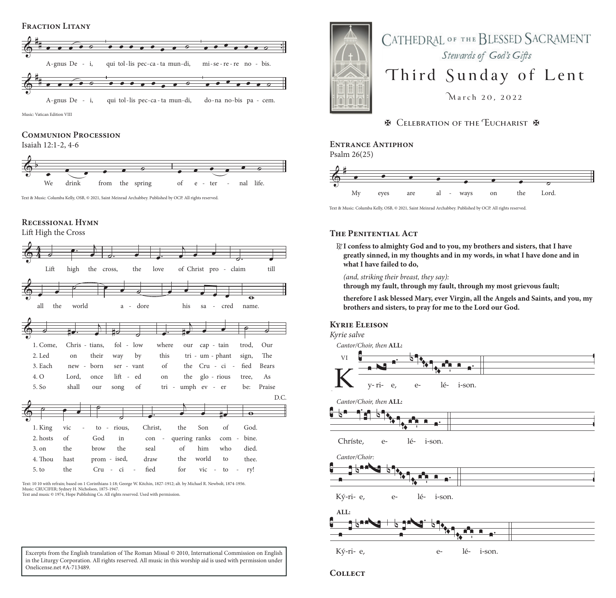#### **Fraction Litany**



Music: Vatican Edition VIII

#### **Communion Procession**

Isaiah 12:1-2, 4-6



Text & Music: Columba Kelly, OSB, © 2021, Saint Meinrad Archabbey. Published by OCP. All rights reserved.

### **Recessional Hymn**

Lift High the Cross



Text: 10 10 with refrain; based on 1 Corinthians 1:18; George W. Kitchin, 1827-1912; alt. by Michael R. Newbolt, 1874-1956. Music: CRUCIFER; Sydney H. Nicholson, 1875-1947.

Text and music © 1974, Hope Publishing Co. All rights reserved. Used with permission.



# **Entrance Antiphon**

Psalm 26(25)



Text & Music: Columba Kelly, OSB, © 2021, Saint Meinrad Archabbey. Published by OCP. All rights reserved.

## **The Penitential Act**

R./**I confess to almighty God and to you, my brothers and sisters, that I have greatly sinned, in my thoughts and in my words, in what I have done and in what I have failed to do,**

*(and, striking their breast, they say):* 

**through my fault, through my fault, through my most grievous fault;**

**therefore I ask blessed Mary, ever Virgin, all the Angels and Saints, and you, my brothers and sisters, to pray for me to the Lord our God.**

#### **Kyrie Eleison**

*Kyrie salve*

*Cantor/Choir, then* **ALL:**



 $y - 11$ <br>Cantor/Choir, then  $rac{1}{\sqrt{1}}$ )<br>i  $\frac{A}{\sqrt{2}}$  $\frac{1}{2}$ r1- e,<br><sup>t</sup>hen <mark>AL</mark>



L<br>2 rí  $\frac{1}{10}$  $\frac{1}{\sqrt{1-\frac{1}{2}}}$  lé-  $\frac{5}{3}$ ֔ i- son.  $\overline{a}$ e- $\overline{a}$  $\frac{1}{16}$  $\frac{1}{1}$ Chríste<br>Bartar/C  $e \ddot{ }$ 

Cantor/Choir: ic<br>
<sub>s</sub>



ri  $\overline{e}$ , H etions de lé- $\overline{\phantom{a}i\text{-sc}}$  $\overline{O}$ Ký- ri-e,  $\overline{\mathcal{L}}$   $\frac{1}{1}$ 



Ký- ri-e,  $\rho$ lé-

**Collect**

Excerpts from the English translation of The Roman Missal © 2010, International Commission on English in the Liturgy Corporation. All rights reserved. All music in this worship aid is used with permission under Onelicense.net #A-713489.